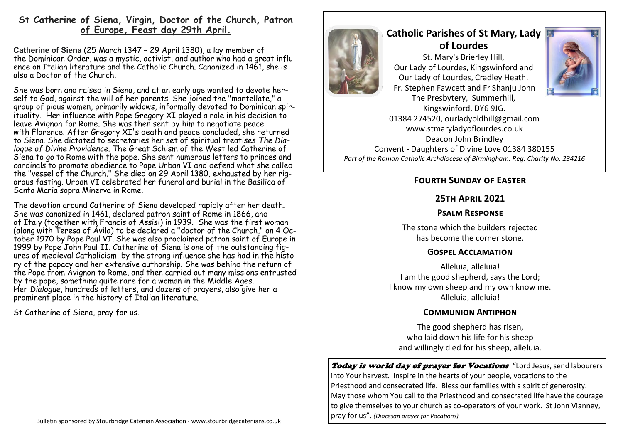# **St Catherine of Siena, Virgin, Doctor of the Church, Patron of Europe, Feast day 29th April.**

**Catherine of Siena** (25 March 1347 – 29 April 1380), a lay member of the [Dominican Order,](https://en.wikipedia.org/wiki/Dominican_Order) was a mystic, activist, and author who had a great influence on Italian literature and the [Catholic Church.](https://en.wikipedia.org/wiki/Catholic_Church) Canonized in 1461, she is also a [Doctor of the Church.](https://en.wikipedia.org/wiki/Doctor_of_the_Church)

She was born and raised in [Siena,](https://en.wikipedia.org/wiki/Siena) and at an early age wanted to devote her-self to [God,](https://en.wikipedia.org/wiki/God) against the will of her parents. She joined the "mantellate," a group of pious women, primarily widows, informally devoted to Dominican spirituality. Her influence with [Pope Gregory XI](https://en.wikipedia.org/wiki/Pope_Gregory_XI) played a role in his decision to leave [Avignon](https://en.wikipedia.org/wiki/Avignon) for [Rome.](https://en.wikipedia.org/wiki/Rome) She was then sent by him to negotiate peace with [Florence.](https://en.wikipedia.org/wiki/Florence) After Gregory XI's death and peace concluded, she returned to Siena. She dictated to secretaries her set of spiritual treatises *The Dialogue of Divine Providence*. The [Great Schism of the West](https://en.wikipedia.org/wiki/Western_Schism) led Catherine of Siena to go to Rome with the pope. She sent numerous letters to princes and cardinals to promote obedience to [Pope Urban VI](https://en.wikipedia.org/wiki/Pope_Urban_VI) and defend what she called the "vessel of the Church." She died on 29 April 1380, exhausted by her rigorous fasting. Urban VI celebrated her funeral and burial in the [Basilica of](https://en.wikipedia.org/wiki/Basilica_of_Santa_Maria_sopra_Minerva)  [Santa Maria sopra Minerva](https://en.wikipedia.org/wiki/Basilica_of_Santa_Maria_sopra_Minerva) in Rome.

The devotion around Catherine of Siena developed rapidly after her death. She was canonized in 1461, declared [patron saint](https://en.wikipedia.org/wiki/Patron_saint) of Rome in 1866, and of [Italy](https://en.wikipedia.org/wiki/Italy) (together with [Francis of Assisi\)](https://en.wikipedia.org/wiki/Francis_of_Assisi) in 1939. She was the first woman (along with [Teresa of Ávila\)](https://en.wikipedia.org/wiki/Teresa_of_%C3%81vila) to be declared a "doctor of the Church," on 4 October 1970 by [Pope Paul VI.](https://en.wikipedia.org/wiki/Pope_Paul_VI) She was also proclaimed [patron saint of Europe](https://en.wikipedia.org/wiki/Patron_Saint_of_Europe) in 1999 by [Pope John Paul II.](https://en.wikipedia.org/wiki/Pope_John_Paul_II) Catherine of Siena is one of the outstanding figures of medieval Catholicism, by the strong influence she has had in the history of the papacy and her extensive authorship. She was behind the return of the Pope from Avignon to Rome, and then carried out many missions entrusted by the pope, something quite rare for a woman in the [Middle Ages.](https://en.wikipedia.org/wiki/Middle_Ages) Her *Dialogue*, hundreds of letters, and dozens of prayers, also give her a prominent place in the history of Italian literature.

St Catherine of Siena, pray for us.



# **Catholic Parishes of St Mary, Lady of Lourdes**  St. Mary's Brierley Hill, Our Lady of Lourdes, Kingswinford and Our Lady of Lourdes, Cradley Heath. Fr. Stephen Fawcett and Fr Shanju John



The Presbytery, Summerhill, Kingswinford, DY6 9JG. 01384 274520, ourladyoldhill@gmail.com www.stmaryladyoflourdes.co.uk Deacon John Brindley Convent - Daughters of Divine Love 01384 380155 *Part of the Roman Catholic Archdiocese of Birmingham: Reg. Charity No. 234216*

# **Fourth Sunday of Easter**

### **25th April 2021**

## **Psalm Response**

The stone which the builders rejected has become the corner stone.

### **Gospel Acclamation**

Alleluia, alleluia! I am the good shepherd, says the Lord; I know my own sheep and my own know me. Alleluia, alleluia!

### **Communion Antiphon**

The good shepherd has risen, who laid down his life for his sheep and willingly died for his sheep, alleluia.

Today is world day of prayer for Vocations "Lord Jesus, send labourers into Your harvest. Inspire in the hearts of your people, vocations to the Priesthood and consecrated life. Bless our families with a spirit of generosity. May those whom You call to the Priesthood and consecrated life have the courage to give themselves to your church as co-operators of your work. St John Vianney, pray for us". *(Diocesan prayer for Vocations)*